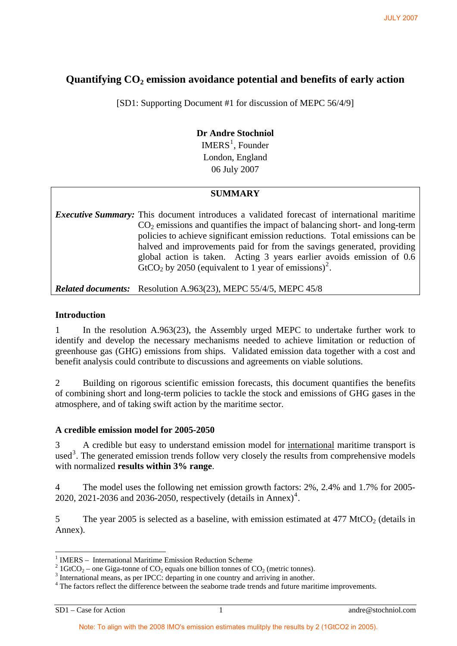# Quantifying CO<sub>2</sub> emission avoidance potential and benefits of early action

[SD1: Supporting Document #1 for discussion of MEPC 56/4/9]

## **Dr Andre Stochniol**   $IMERS<sup>1</sup>$  $IMERS<sup>1</sup>$  $IMERS<sup>1</sup>$ , Founder London, England 06 July 2007

## **SUMMARY**

*Executive Summary:* This document introduces a validated forecast of international maritime  $CO<sub>2</sub>$  emissions and quantifies the impact of balancing short- and long-term policies to achieve significant emission reductions. Total emissions can be halved and improvements paid for from the savings generated, providing global action is taken. Acting 3 years earlier avoids emission of 0.6  $GtCO<sub>2</sub>$  $GtCO<sub>2</sub>$  $GtCO<sub>2</sub>$  by 2050 (equivalent to 1 year of emissions)<sup>2</sup>.

*Related documents:* Resolution A.963(23), MEPC 55/4/5, MEPC 45/8

### **Introduction**

1 In the resolution A.963(23), the Assembly urged MEPC to undertake further work to identify and develop the necessary mechanisms needed to achieve limitation or reduction of greenhouse gas (GHG) emissions from ships. Validated emission data together with a cost and benefit analysis could contribute to discussions and agreements on viable solutions.

2 Building on rigorous scientific emission forecasts, this document quantifies the benefits of combining short and long-term policies to tackle the stock and emissions of GHG gases in the atmosphere, and of taking swift action by the maritime sector.

## **A credible emission model for 2005-2050**

3 A credible but easy to understand emission model for international maritime transport is used<sup>[3](#page-0-2)</sup>. The generated emission trends follow very closely the results from comprehensive models with normalized **results within 3% range**.

4 The model uses the following net emission growth factors: 2%, 2.4% and 1.7% for 2005- 2020, 2021-2036 and 2036-2050, respectively (details in Annex)<sup>[4](#page-0-3)</sup>.

5 The year 2005 is selected as a baseline, with emission estimated at  $477 \text{ MtCO}_2$  (details in Annex).

-

<span id="page-0-0"></span><sup>1</sup> IMERS – International Maritime Emission Reduction Scheme

<span id="page-0-1"></span><sup>&</sup>lt;sup>2</sup> 1GtCO<sub>2</sub> – one Giga-tonne of CO<sub>2</sub> equals one billion tonnes of CO<sub>2</sub> (metric tonnes).

<span id="page-0-2"></span><sup>&</sup>lt;sup>3</sup> International means, as per IPCC: departing in one country and arriving in another.

<span id="page-0-3"></span><sup>&</sup>lt;sup>4</sup> The factors reflect the difference between the seaborne trade trends and future maritime improvements.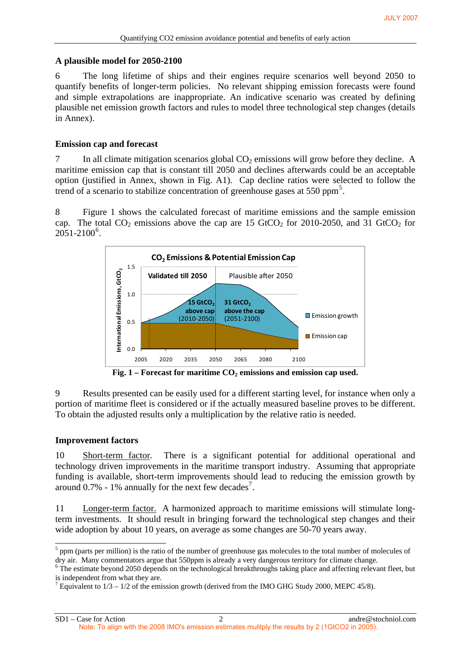#### **A plausible model for 2050-2100**

6 The long lifetime of ships and their engines require scenarios well beyond 2050 to quantify benefits of longer-term policies. No relevant shipping emission forecasts were found and simple extrapolations are inappropriate. An indicative scenario was created by defining plausible net emission growth factors and rules to model three technological step changes (details in Annex).

#### **Emission cap and forecast**

7 In all climate mitigation scenarios global  $CO<sub>2</sub>$  emissions will grow before they decline. A maritime emission cap that is constant till 2050 and declines afterwards could be an acceptable option (justified in Annex, shown in Fig. A1). Cap decline ratios were selected to follow the trend of a scenario to stabilize concentration of greenhouse gases at [5](#page-1-0)50 ppm<sup>5</sup>.

8 Figure 1 shows the calculated forecast of maritime emissions and the sample emission cap. The total  $CO_2$  emissions above the cap are 15 GtCO<sub>2</sub> for 2010-2050, and 31 GtCO<sub>2</sub> for  $2051 - 2100^6$  $2051 - 2100^6$ .



Fig. 1 – Forecast for maritime CO<sub>2</sub> emissions and emission cap used.

9 Results presented can be easily used for a different starting level, for instance when only a portion of maritime fleet is considered or if the actually measured baseline proves to be different. To obtain the adjusted results only a multiplication by the relative ratio is needed.

#### **Improvement factors**

10 Short-term factor. There is a significant potential for additional operational and technology driven improvements in the maritime transport industry. Assuming that appropriate funding is available, short-term improvements should lead to reducing the emission growth by around  $0.7\%$  $0.7\%$  $0.7\%$  - 1% annually for the next few decades<sup>7</sup>.

11 Longer-term factor. A harmonized approach to maritime emissions will stimulate longterm investments. It should result in bringing forward the technological step changes and their wide adoption by about 10 years, on average as some changes are 50-70 years away.

<span id="page-1-0"></span> $\frac{5}{5}$  ppm (parts per million) is the ratio of the number of greenhouse gas molecules to the total number of molecules of dry air. Many commentators argue that 550ppm is already a very dangerous territory for climate change.<br><sup>6</sup> The estimate beyond 2050 depends on the technological breakthroughs taking place and affecting relevant fleet, but

<span id="page-1-1"></span>is independent from what they are.

<span id="page-1-2"></span><sup>&</sup>lt;sup>7</sup> Equivalent to  $1/3 - 1/2$  of the emission growth (derived from the IMO GHG Study 2000, MEPC 45/8).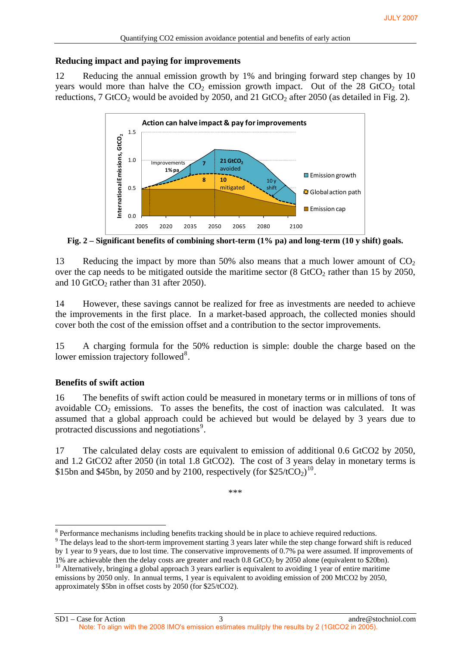### **Reducing impact and paying for improvements**

12 Reducing the annual emission growth by 1% and bringing forward step changes by 10 years would more than halve the  $CO<sub>2</sub>$  emission growth impact. Out of the 28 GtCO<sub>2</sub> total reductions, 7 GtCO<sub>2</sub> would be avoided by 2050, and 21 GtCO<sub>2</sub> after 2050 (as detailed in Fig. 2).



**Fig. 2 – Significant benefits of combining short-term (1% pa) and long-term (10 y shift) goals.** 

13 Reducing the impact by more than 50% also means that a much lower amount of  $CO<sub>2</sub>$ over the cap needs to be mitigated outside the maritime sector  $(8 \text{ GtCO}_2 \text{ rather than } 15 \text{ by } 2050,$ and 10 GtCO<sub>2</sub> rather than 31 after 2050).

14 However, these savings cannot be realized for free as investments are needed to achieve the improvements in the first place. In a market-based approach, the collected monies should cover both the cost of the emission offset and a contribution to the sector improvements.

15 A charging formula for the 50% reduction is simple: double the charge based on the lower emission trajectory followed<sup>[8](#page-2-0)</sup>.

## **Benefits of swift action**

-

16 The benefits of swift action could be measured in monetary terms or in millions of tons of avoidable  $CO<sub>2</sub>$  emissions. To asses the benefits, the cost of inaction was calculated. It was assumed that a global approach could be achieved but would be delayed by 3 years due to protracted discussions and negotiations<sup>[9](#page-2-1)</sup>.

17 The calculated delay costs are equivalent to emission of additional 0.6 GtCO2 by 2050, and 1.2 GtCO2 after 2050 (in total 1.8 GtCO2). The cost of 3 years delay in monetary terms is \$15bn and \$45bn, by 2050 and by 2[10](#page-2-2)0, respectively (for  $$25/tCO<sub>2</sub>$ )<sup>10</sup>.

\*\*\*

<span id="page-2-0"></span> $8$  Performance mechanisms including benefits tracking should be in place to achieve required reductions.

<span id="page-2-1"></span><sup>&</sup>lt;sup>9</sup> The delays lead to the short-term improvement starting 3 years later while the step change forward shift is reduced by 1 year to 9 years, due to lost time. The conservative improvements of 0.7% pa were assumed. If improvements of

<span id="page-2-2"></span><sup>1%</sup> are achievable then the delay costs are greater and reach 0.8 GtCO<sub>2</sub> by 2050 alone (equivalent to \$20bn). <sup>10</sup> Alternatively, bringing a global approach 3 years earlier is equivalent to avoiding 1 year of entire marit emissions by 2050 only. In annual terms, 1 year is equivalent to avoiding emission of 200 MtCO2 by 2050, approximately \$5bn in offset costs by 2050 (for \$25/tCO2).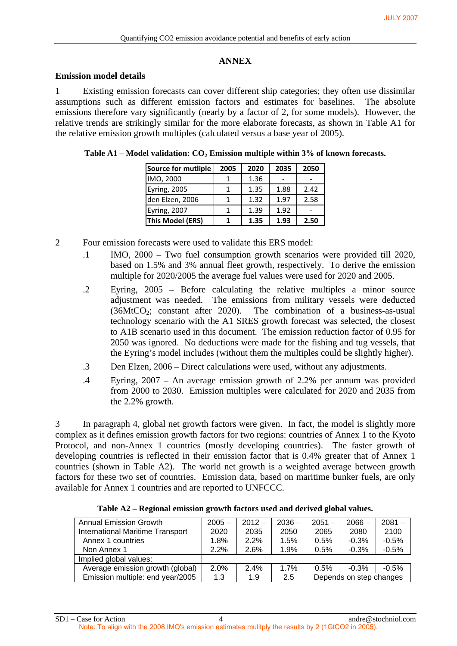#### **ANNEX**

#### **Emission model details**

1 Existing emission forecasts can cover different ship categories; they often use dissimilar assumptions such as different emission factors and estimates for baselines. The absolute emissions therefore vary significantly (nearly by a factor of 2, for some models). However, the relative trends are strikingly similar for the more elaborate forecasts, as shown in Table A1 for the relative emission growth multiples (calculated versus a base year of 2005).

| Source for mutliple     | 2005 | 2020 | 2035 | 2050 |
|-------------------------|------|------|------|------|
| IMO, 2000               |      | 1.36 |      |      |
| Eyring, 2005            |      | 1.35 | 1.88 | 2.42 |
| den Elzen, 2006         |      | 1.32 | 1.97 | 2.58 |
| Eyring, 2007            |      | 1.39 | 1.92 |      |
| <b>This Model (ERS)</b> |      | 1.35 | 1.93 | 2.50 |

- 2 Four emission forecasts were used to validate this ERS model:
	- .1 IMO, 2000 Two fuel consumption growth scenarios were provided till 2020, based on 1.5% and 3% annual fleet growth, respectively. To derive the emission multiple for 2020/2005 the average fuel values were used for 2020 and 2005.
	- .2 Eyring, 2005 Before calculating the relative multiples a minor source adjustment was needed. The emissions from military vessels were deducted  $(36MtCO<sub>2</sub>; constant after 2020).$  The combination of a business-as-usual technology scenario with the A1 SRES growth forecast was selected, the closest to A1B scenario used in this document. The emission reduction factor of 0.95 for 2050 was ignored. No deductions were made for the fishing and tug vessels, that the Eyring's model includes (without them the multiples could be slightly higher).
	- .3 Den Elzen, 2006 Direct calculations were used, without any adjustments.
	- .4 Eyring, 2007 An average emission growth of 2.2% per annum was provided from 2000 to 2030. Emission multiples were calculated for 2020 and 2035 from the 2.2% growth.

3 In paragraph 4, global net growth factors were given. In fact, the model is slightly more complex as it defines emission growth factors for two regions: countries of Annex 1 to the Kyoto Protocol, and non-Annex 1 countries (mostly developing countries). The faster growth of developing countries is reflected in their emission factor that is 0.4% greater that of Annex 1 countries (shown in Table A2). The world net growth is a weighted average between growth factors for these two set of countries. Emission data, based on maritime bunker fuels, are only available for Annex 1 countries and are reported to UNFCCC.

| <b>Annual Emission Growth</b>           | $2005 -$ | $2012 -$ | $2036 -$ | $2051 -$                | $2066 -$ | $2081 -$ |
|-----------------------------------------|----------|----------|----------|-------------------------|----------|----------|
| <b>International Maritime Transport</b> | 2020     | 2035     | 2050     | 2065                    | 2080     | 2100     |
| Annex 1 countries                       | 1.8%     | $2.2\%$  | 1.5%     | 0.5%                    | $-0.3%$  | $-0.5%$  |
| Non Annex 1                             | 2.2%     | 2.6%     | 1.9%     | 0.5%                    | $-0.3%$  | $-0.5%$  |
| Implied global values:                  |          |          |          |                         |          |          |
| Average emission growth (global)        | 2.0%     | 2.4%     | 1.7%     | 0.5%                    | $-0.3\%$ | $-0.5%$  |
| Emission multiple: end year/2005        | 1.3      | 1.9      | 2.5      | Depends on step changes |          |          |

**Table A2 – Regional emission growth factors used and derived global values.**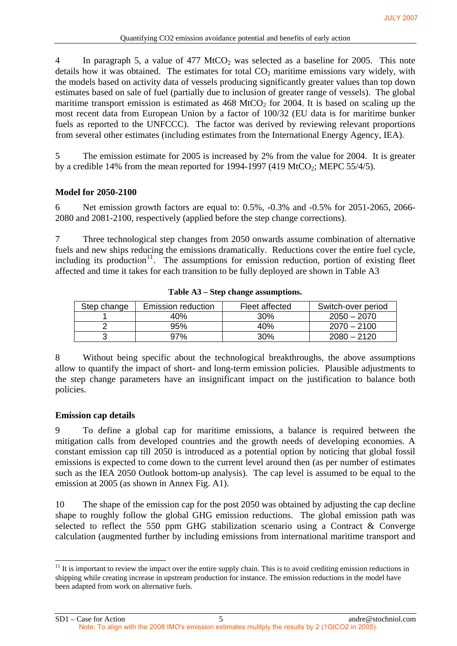4 In paragraph 5, a value of 477 MtCO<sub>2</sub> was selected as a baseline for 2005. This note details how it was obtained. The estimates for total  $CO<sub>2</sub>$  maritime emissions vary widely, with the models based on activity data of vessels producing significantly greater values than top down estimates based on sale of fuel (partially due to inclusion of greater range of vessels). The global maritime transport emission is estimated as  $468 \text{ MtCO}_2$  for 2004. It is based on scaling up the most recent data from European Union by a factor of 100/32 (EU data is for maritime bunker fuels as reported to the UNFCCC). The factor was derived by reviewing relevant proportions from several other estimates (including estimates from the International Energy Agency, IEA).

5 The emission estimate for 2005 is increased by 2% from the value for 2004. It is greater by a credible 14% from the mean reported for 1994-1997 (419 MtCO<sub>2</sub>; MEPC 55/4/5).

## **Model for 2050-2100**

6 Net emission growth factors are equal to: 0.5%, -0.3% and -0.5% for 2051-2065, 2066- 2080 and 2081-2100, respectively (applied before the step change corrections).

7 Three technological step changes from 2050 onwards assume combination of alternative fuels and new ships reducing the emissions dramatically. Reductions cover the entire fuel cycle, including its production<sup>[11](#page-4-0)</sup>. The assumptions for emission reduction, portion of existing fleet affected and time it takes for each transition to be fully deployed are shown in Table A3

| Step change | Emission reduction | Fleet affected | Switch-over period |
|-------------|--------------------|----------------|--------------------|
|             | 40%                | $30\%$         | $2050 - 2070$      |
|             | 95%                | 40%            | $2070 - 2100$      |
|             | 97%                | 30%            | $2080 - 2120$      |

**Table A3 – Step change assumptions.** 

8 Without being specific about the technological breakthroughs, the above assumptions allow to quantify the impact of short- and long-term emission policies. Plausible adjustments to the step change parameters have an insignificant impact on the justification to balance both policies.

## **Emission cap details**

9 To define a global cap for maritime emissions, a balance is required between the mitigation calls from developed countries and the growth needs of developing economies. A constant emission cap till 2050 is introduced as a potential option by noticing that global fossil emissions is expected to come down to the current level around then (as per number of estimates such as the IEA 2050 Outlook bottom-up analysis). The cap level is assumed to be equal to the emission at 2005 (as shown in Annex Fig. A1).

10 The shape of the emission cap for the post 2050 was obtained by adjusting the cap decline shape to roughly follow the global GHG emission reductions. The global emission path was selected to reflect the 550 ppm GHG stabilization scenario using a Contract  $\&$  Converge calculation (augmented further by including emissions from international maritime transport and

<span id="page-4-0"></span><sup>1</sup>  $11$  It is important to review the impact over the entire supply chain. This is to avoid crediting emission reductions in shipping while creating increase in upstream production for instance. The emission reductions in the model have been adapted from work on alternative fuels.